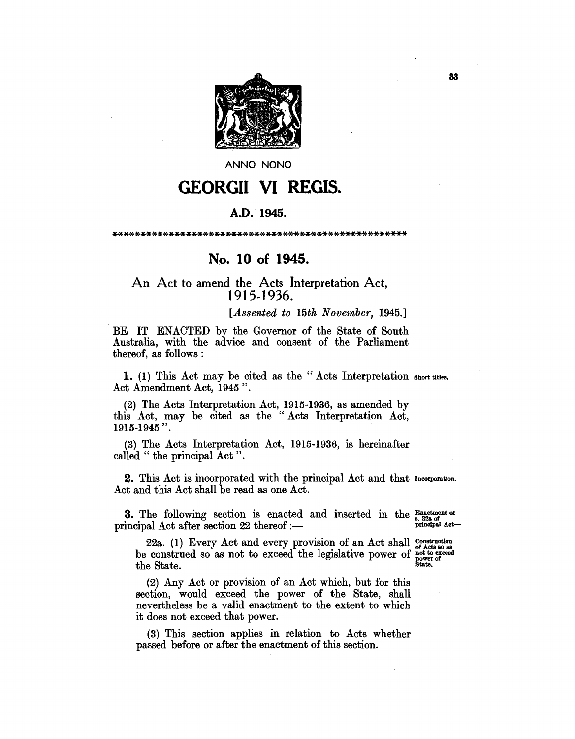

ANNO NONO

## **GEORGII VI REGIS.**

## A.D. 1945.

## No. 10 of 1945.

## An Act to amend the Acts Interpretation Act, 1915-1936.

[Assented to 15th November, 1945.]

BE IT ENACTED by the Governor of the State of South Australia, with the advice and consent of the Parliament thereof, as follows:

1. (1) This Act may be cited as the "Acts Interpretation short titles. Act Amendment Act, 1945".

(2) The Acts Interpretation Act, 1915-1936, as amended by this Act, may be cited as the "Acts Interpretation Act, 1915-1945".

(3) The Acts Interpretation Act, 1915-1936, is hereinafter called "the principal Act".

2. This Act is incorporated with the principal Act and that Incorporation. Act and this Act shall be read as one Act.

3. The following section is enacted and inserted in the Enactment of principal Act after section 22 thereof :-

principal Act-

22a. (1) Every Act and every provision of an Act shall construction not to exceed be construed so as not to exceed the legislative power of n.<br>powe.<br>State. the State.

(2) Any Act or provision of an Act which, but for this section, would exceed the power of the State, shall nevertheless be a valid enactment to the extent to which it does not exceed that power.

(3) This section applies in relation to Acts whether passed before or after the enactment of this section.